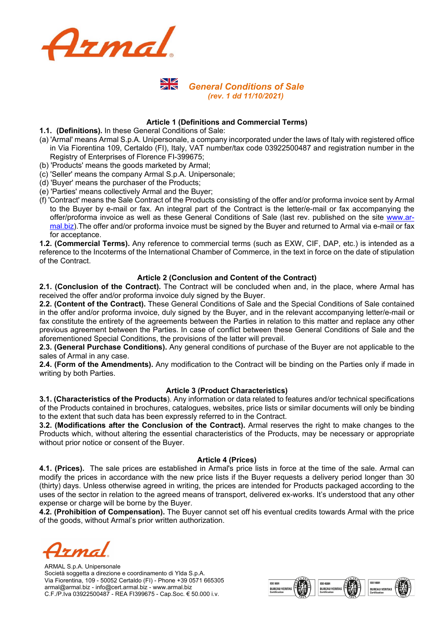

# **NIZ**  *General Conditions of Sale (rev. 1 dd 11/10/2021)*

## **Article 1 (Definitions and Commercial Terms)**

- **1.1. (Definitions).** In these General Conditions of Sale:
- (a) 'Armal' means Armal S.p.A. Unipersonale, a company incorporated under the laws of Italy with registered office in Via Fiorentina 109, Certaldo (FI), Italy, VAT number/tax code 03922500487 and registration number in the Registry of Enterprises of Florence FI-399675;
- (b) 'Products' means the goods marketed by Armal;
- (c) 'Seller' means the company Armal S.p.A. Unipersonale;
- (d) 'Buyer' means the purchaser of the Products;
- (e) 'Parties' means collectively Armal and the Buyer;
- (f) 'Contract' means the Sale Contract of the Products consisting of the offer and/or proforma invoice sent by Armal to the Buyer by e-mail or fax. An integral part of the Contract is the letter/e-mail or fax accompanying the offer/proforma invoice as well as these General Conditions of Sale (last rev. published on the site www.armal.biz).The offer and/or proforma invoice must be signed by the Buyer and returned to Armal via e-mail or fax for acceptance.

**1.2. (Commercial Terms).** Any reference to commercial terms (such as EXW, CIF, DAP, etc.) is intended as a reference to the Incoterms of the International Chamber of Commerce, in the text in force on the date of stipulation of the Contract.

## **Article 2 (Conclusion and Content of the Contract)**

**2.1. (Conclusion of the Contract).** The Contract will be concluded when and, in the place, where Armal has received the offer and/or proforma invoice duly signed by the Buyer.

**2.2. (Content of the Contract).** These General Conditions of Sale and the Special Conditions of Sale contained in the offer and/or proforma invoice, duly signed by the Buyer, and in the relevant accompanying letter/e-mail or fax constitute the entirety of the agreements between the Parties in relation to this matter and replace any other previous agreement between the Parties. In case of conflict between these General Conditions of Sale and the aforementioned Special Conditions, the provisions of the latter will prevail.

**2.3. (General Purchase Conditions).** Any general conditions of purchase of the Buyer are not applicable to the sales of Armal in any case.

**2.4. (Form of the Amendments).** Any modification to the Contract will be binding on the Parties only if made in writing by both Parties.

#### **Article 3 (Product Characteristics)**

**3.1. (Characteristics of the Products**). Any information or data related to features and/or technical specifications of the Products contained in brochures, catalogues, websites, price lists or similar documents will only be binding to the extent that such data has been expressly referred to in the Contract.

**3.2. (Modifications after the Conclusion of the Contract).** Armal reserves the right to make changes to the Products which, without altering the essential characteristics of the Products, may be necessary or appropriate without prior notice or consent of the Buyer.

#### **Article 4 (Prices)**

**4.1. (Prices).** The sale prices are established in Armal's price lists in force at the time of the sale. Armal can modify the prices in accordance with the new price lists if the Buyer requests a delivery period longer than 30 (thirty) days. Unless otherwise agreed in writing, the prices are intended for Products packaged according to the uses of the sector in relation to the agreed means of transport, delivered ex-works. It's understood that any other expense or charge will be borne by the Buyer.

**4.2. (Prohibition of Compensation).** The Buyer cannot set off his eventual credits towards Armal with the price of the goods, without Armal's prior written authorization.

<u>zma</u>

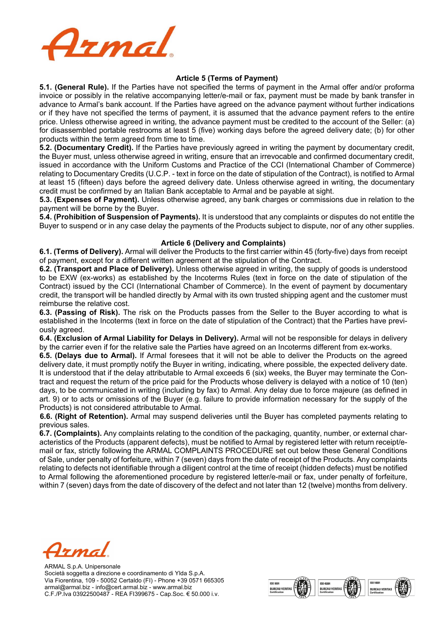

## **Article 5 (Terms of Payment)**

**5.1. (General Rule).** If the Parties have not specified the terms of payment in the Armal offer and/or proforma invoice or possibly in the relative accompanying letter/e-mail or fax, payment must be made by bank transfer in advance to Armal's bank account. If the Parties have agreed on the advance payment without further indications or if they have not specified the terms of payment, it is assumed that the advance payment refers to the entire price. Unless otherwise agreed in writing, the advance payment must be credited to the account of the Seller: (a) for disassembled portable restrooms at least 5 (five) working days before the agreed delivery date; (b) for other products within the term agreed from time to time.

**5.2. (Documentary Credit).** If the Parties have previously agreed in writing the payment by documentary credit, the Buyer must, unless otherwise agreed in writing, ensure that an irrevocable and confirmed documentary credit, issued in accordance with the Uniform Customs and Practice of the CCI (International Chamber of Commerce) relating to Documentary Credits (U.C.P. - text in force on the date of stipulation of the Contract), is notified to Armal at least 15 (fifteen) days before the agreed delivery date. Unless otherwise agreed in writing, the documentary credit must be confirmed by an Italian Bank acceptable to Armal and be payable at sight.

**5.3. (Expenses of Payment).** Unless otherwise agreed, any bank charges or commissions due in relation to the payment will be borne by the Buyer.

**5.4. (Prohibition of Suspension of Payments).** It is understood that any complaints or disputes do not entitle the Buyer to suspend or in any case delay the payments of the Products subject to dispute, nor of any other supplies.

#### **Article 6 (Delivery and Complaints)**

**6.1. (Terms of Delivery).** Armal will deliver the Products to the first carrier within 45 (forty-five) days from receipt of payment, except for a different written agreement at the stipulation of the Contract.

**6.2. (Transport and Place of Delivery).** Unless otherwise agreed in writing, the supply of goods is understood to be EXW (ex-works) as established by the Incoterms Rules (text in force on the date of stipulation of the Contract) issued by the CCI (International Chamber of Commerce). In the event of payment by documentary credit, the transport will be handled directly by Armal with its own trusted shipping agent and the customer must reimburse the relative cost.

**6.3. (Passing of Risk).** The risk on the Products passes from the Seller to the Buyer according to what is established in the Incoterms (text in force on the date of stipulation of the Contract) that the Parties have previously agreed.

**6.4. (Exclusion of Armal Liability for Delays in Delivery).** Armal will not be responsible for delays in delivery by the carrier even if for the relative sale the Parties have agreed on an Incoterms different from ex-works.

**6.5. (Delays due to Armal).** If Armal foresees that it will not be able to deliver the Products on the agreed delivery date, it must promptly notify the Buyer in writing, indicating, where possible, the expected delivery date. It is understood that if the delay attributable to Armal exceeds 6 (six) weeks, the Buyer may terminate the Contract and request the return of the price paid for the Products whose delivery is delayed with a notice of 10 (ten) days, to be communicated in writing (including by fax) to Armal. Any delay due to force majeure (as defined in art. 9) or to acts or omissions of the Buyer (e.g. failure to provide information necessary for the supply of the Products) is not considered attributable to Armal.

 **6.6. (Right of Retention).** Armal may suspend deliveries until the Buyer has completed payments relating to previous sales.

**6.7. (Complaints).** Any complaints relating to the condition of the packaging, quantity, number, or external characteristics of the Products (apparent defects), must be notified to Armal by registered letter with return receipt/email or fax, strictly following the ARMAL COMPLAINTS PROCEDURE set out below these General Conditions of Sale, under penalty of forfeiture, within 7 (seven) days from the date of receipt of the Products. Any complaints relating to defects not identifiable through a diligent control at the time of receipt (hidden defects) must be notified to Armal following the aforementioned procedure by registered letter/e-mail or fax, under penalty of forfeiture, within 7 (seven) days from the date of discovery of the defect and not later than 12 (twelve) months from delivery.

zma

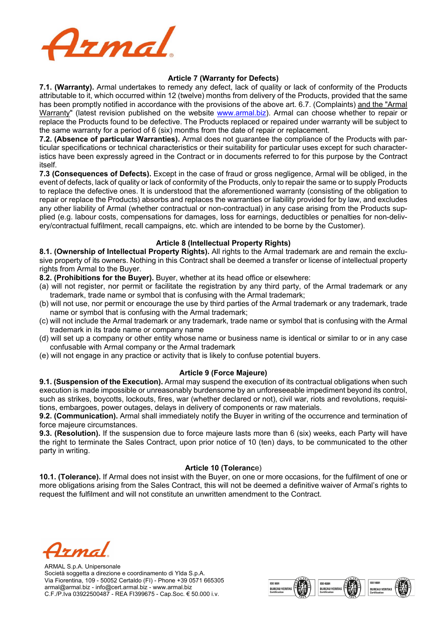

## **Article 7 (Warranty for Defects)**

**7.1. (Warranty).** Armal undertakes to remedy any defect, lack of quality or lack of conformity of the Products attributable to it, which occurred within 12 (twelve) months from delivery of the Products, provided that the same has been promptly notified in accordance with the provisions of the above art. 6.7. (Complaints) and the "Armal Warranty" (latest revision published on the website www.armal.biz). Armal can choose whether to repair or replace the Products found to be defective. The Products replaced or repaired under warranty will be subject to the same warranty for a period of 6 (six) months from the date of repair or replacement.

**7.2. (Absence of particular Warranties).** Armal does not guarantee the compliance of the Products with particular specifications or technical characteristics or their suitability for particular uses except for such characteristics have been expressly agreed in the Contract or in documents referred to for this purpose by the Contract itself.

**7.3 (Consequences of Defects).** Except in the case of fraud or gross negligence, Armal will be obliged, in the event of defects, lack of quality or lack of conformity of the Products, only to repair the same or to supply Products to replace the defective ones. It is understood that the aforementioned warranty (consisting of the obligation to repair or replace the Products) absorbs and replaces the warranties or liability provided for by law, and excludes any other liability of Armal (whether contractual or non-contractual) in any case arising from the Products supplied (e.g. labour costs, compensations for damages, loss for earnings, deductibles or penalties for non-delivery/contractual fulfilment, recall campaigns, etc. which are intended to be borne by the Customer).

## **Article 8 (Intellectual Property Rights)**

**8.1. (Ownership of Intellectual Property Rights).** All rights to the Armal trademark are and remain the exclusive property of its owners. Nothing in this Contract shall be deemed a transfer or license of intellectual property rights from Armal to the Buyer.

**8.2. (Prohibitions for the Buyer).** Buyer, whether at its head office or elsewhere:

- (a) will not register, nor permit or facilitate the registration by any third party, of the Armal trademark or any trademark, trade name or symbol that is confusing with the Armal trademark;
- (b) will not use, nor permit or encourage the use by third parties of the Armal trademark or any trademark, trade name or symbol that is confusing with the Armal trademark;
- (c) will not include the Armal trademark or any trademark, trade name or symbol that is confusing with the Armal trademark in its trade name or company name
- (d) will set up a company or other entity whose name or business name is identical or similar to or in any case confusable with Armal company or the Armal trademark
- (e) will not engage in any practice or activity that is likely to confuse potential buyers.

#### **Article 9 (Force Majeure)**

**9.1. (Suspension of the Execution).** Armal may suspend the execution of its contractual obligations when such execution is made impossible or unreasonably burdensome by an unforeseeable impediment beyond its control, such as strikes, boycotts, lockouts, fires, war (whether declared or not), civil war, riots and revolutions, requisitions, embargoes, power outages, delays in delivery of components or raw materials.

**9.2. (Communication).** Armal shall immediately notify the Buyer in writing of the occurrence and termination of force majeure circumstances.

**9.3. (Resolution).** If the suspension due to force majeure lasts more than 6 (six) weeks, each Party will have the right to terminate the Sales Contract, upon prior notice of 10 (ten) days, to be communicated to the other party in writing.

#### **Article 10 (Toleranc**e)

**10.1. (Tolerance).** If Armal does not insist with the Buyer, on one or more occasions, for the fulfilment of one or more obligations arising from the Sales Contract, this will not be deemed a definitive waiver of Armal's rights to request the fulfilment and will not constitute an unwritten amendment to the Contract.

TMA